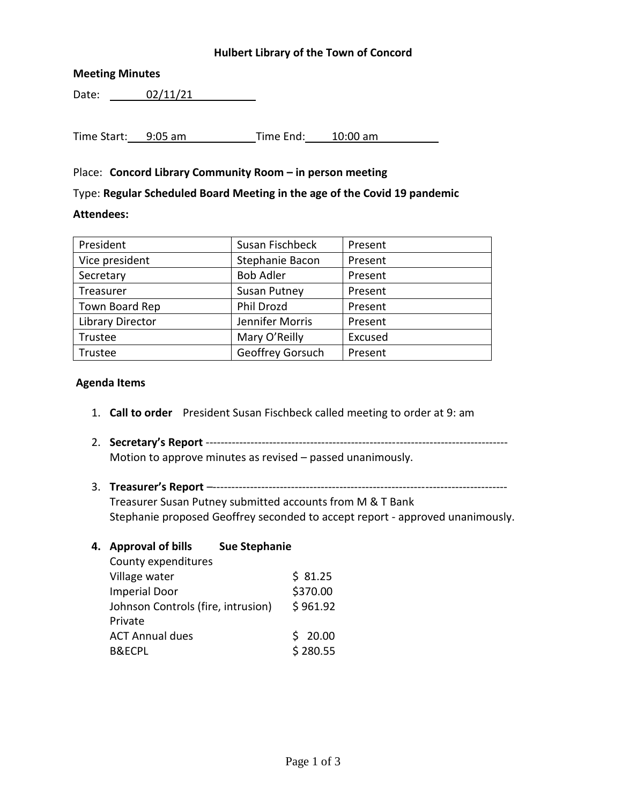### **Hulbert Library of the Town of Concord**

### **Meeting Minutes**

Date: 02/11/21

Time Start: 9:05 am Time End: 10:00 am

### Place: **Concord Library Community Room – in person meeting**

Type: **Regular Scheduled Board Meeting in the age of the Covid 19 pandemic**

### **Attendees:**

| Susan Fischbeck     | Present |
|---------------------|---------|
| Stephanie Bacon     | Present |
| <b>Bob Adler</b>    | Present |
| <b>Susan Putney</b> | Present |
| Phil Drozd          | Present |
| Jennifer Morris     | Present |
| Mary O'Reilly       | Excused |
| Geoffrey Gorsuch    | Present |
|                     |         |

#### **Agenda Items**

- 1. **Call to order** President Susan Fischbeck called meeting to order at 9: am
- 2. **Secretary's Report** --------------------------------------------------------------------------------- Motion to approve minutes as revised – passed unanimously.
- 3. **Treasurer's Report** –------------------------------------------------------------------------------- Treasurer Susan Putney submitted accounts from M & T Bank Stephanie proposed Geoffrey seconded to accept report - approved unanimously.

| <b>Approval of bills</b> | <b>Sue Stephanie</b>      |                                    |
|--------------------------|---------------------------|------------------------------------|
|                          |                           |                                    |
| Village water            |                           | \$31.25                            |
| <b>Imperial Door</b>     |                           | \$370.00                           |
|                          |                           | \$961.92                           |
| Private                  |                           |                                    |
| <b>ACT Annual dues</b>   |                           | \$20.00                            |
| <b>B&amp;ECPL</b>        |                           | \$280.55                           |
|                          | 4.<br>County expenditures | Johnson Controls (fire, intrusion) |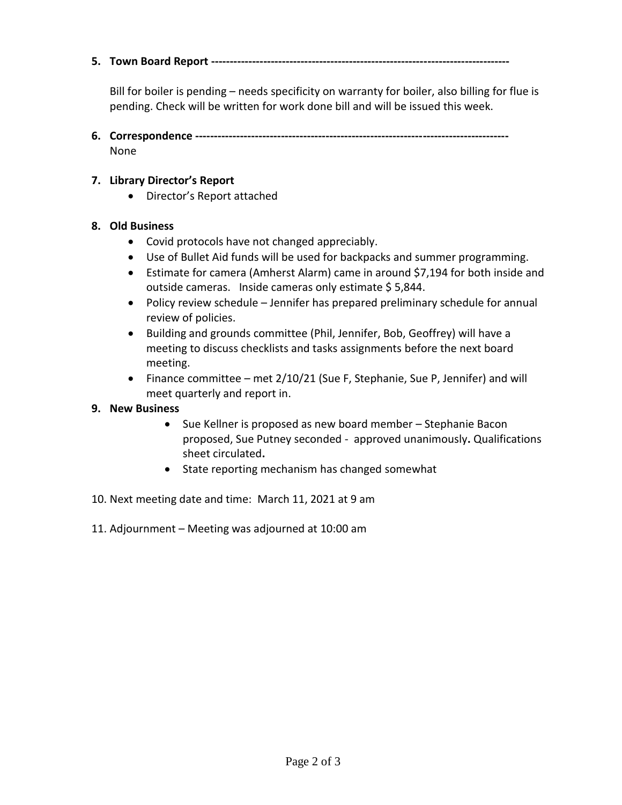**5. Town Board Report --------------------------------------------------------------------------------**

Bill for boiler is pending – needs specificity on warranty for boiler, also billing for flue is pending. Check will be written for work done bill and will be issued this week.

**6. Correspondence ------------------------------------------------------------------------------------** None

### **7. Library Director's Report**

Director's Report attached

## **8. Old Business**

- Covid protocols have not changed appreciably.
- Use of Bullet Aid funds will be used for backpacks and summer programming.
- Estimate for camera (Amherst Alarm) came in around \$7,194 for both inside and outside cameras. Inside cameras only estimate \$ 5,844.
- Policy review schedule Jennifer has prepared preliminary schedule for annual review of policies.
- Building and grounds committee (Phil, Jennifer, Bob, Geoffrey) will have a meeting to discuss checklists and tasks assignments before the next board meeting.
- Finance committee met  $2/10/21$  (Sue F, Stephanie, Sue P, Jennifer) and will meet quarterly and report in.

### **9. New Business**

- Sue Kellner is proposed as new board member Stephanie Bacon proposed, Sue Putney seconded - approved unanimously**.** Qualifications sheet circulated**.**
- State reporting mechanism has changed somewhat
- 10. Next meeting date and time: March 11, 2021 at 9 am
- 11. Adjournment Meeting was adjourned at 10:00 am